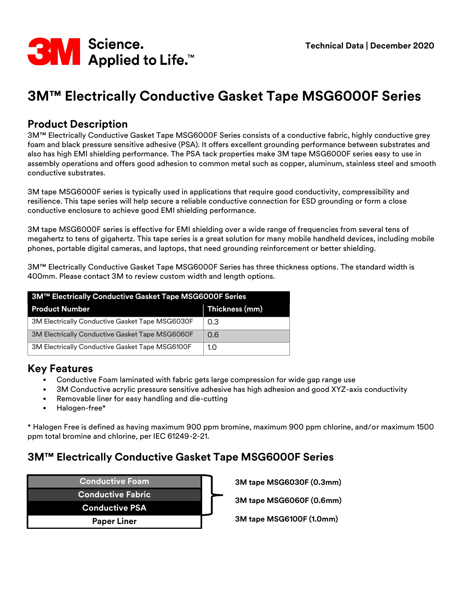

# **3M™ Electrically Conductive Gasket Tape MSG6000F Series**

#### **Product Description**

3M™ Electrically Conductive Gasket Tape MSG6000F Series consists of a conductive fabric, highly conductive grey foam and black pressure sensitive adhesive (PSA). It offers excellent grounding performance between substrates and also has high EMI shielding performance. The PSA tack properties make 3M tape MSG6000F series easy to use in assembly operations and offers good adhesion to common metal such as copper, aluminum, stainless steel and smooth conductive substrates.

3M tape MSG6000F series is typically used in applications that require good conductivity, compressibility and resilience. This tape series will help secure a reliable conductive connection for ESD grounding or form a close conductive enclosure to achieve good EMI shielding performance.

3M tape MSG6000F series is effective for EMI shielding over a wide range of frequencies from several tens of megahertz to tens of gigahertz. This tape series is a great solution for many mobile handheld devices, including mobile phones, portable digital cameras, and laptops, that need grounding reinforcement or better shielding.

3M™ Electrically Conductive Gasket Tape MSG6000F Series has three thickness options. The standard width is 400mm. Please contact 3M to review custom width and length options.

| 3M™ Electrically Conductive Gasket Tape MSG6000F Series |                |  |  |  |
|---------------------------------------------------------|----------------|--|--|--|
| <b>Product Number</b>                                   | Thickness (mm) |  |  |  |
| 3M Electrically Conductive Gasket Tape MSG6030F         | 0.3            |  |  |  |
| <b>3M Electrically Conductive Gasket Tape MSG6060F</b>  | 0.6            |  |  |  |
| 3M Electrically Conductive Gasket Tape MSG6100F         | 1.0            |  |  |  |

#### **Key Features**

- Conductive Foam laminated with fabric gets large compression for wide gap range use
- 3M Conductive acrylic pressure sensitive adhesive has high adhesion and good XYZ-axis conductivity
- Removable liner for easy handling and die-cutting
- Halogen-free\*

\* Halogen Free is defined as having maximum 900 ppm bromine, maximum 900 ppm chlorine, and/or maximum 1500 ppm total bromine and chlorine, per IEC 61249-2-21.

#### **3M™ Electrically Conductive Gasket Tape MSG6000F Series**

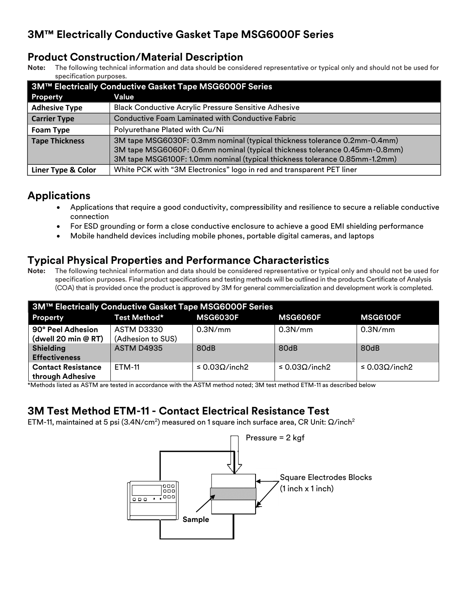#### **Product Construction/Material Description**

**Note:** The following technical information and data should be considered representative or typical only and should not be used for specification purposes.

| 3M™ Electrically Conductive Gasket Tape MSG6000F Series |                                                                            |  |  |  |
|---------------------------------------------------------|----------------------------------------------------------------------------|--|--|--|
| <b>Property</b>                                         | Value                                                                      |  |  |  |
| <b>Adhesive Type</b>                                    | <b>Black Conductive Acrylic Pressure Sensitive Adhesive</b>                |  |  |  |
| <b>Carrier Type</b>                                     | Conductive Foam Laminated with Conductive Fabric                           |  |  |  |
| <b>Foam Type</b>                                        | Polyurethane Plated with Cu/Ni                                             |  |  |  |
| <b>Tape Thickness</b>                                   | 3M tape MSG6030F: 0.3mm nominal (typical thickness tolerance 0.2mm-0.4mm)  |  |  |  |
|                                                         | 3M tape MSG6060F: 0.6mm nominal (typical thickness tolerance 0.45mm-0.8mm) |  |  |  |
|                                                         | 3M tape MSG6100F: 1.0mm nominal (typical thickness tolerance 0.85mm-1.2mm) |  |  |  |
| Liner Type & Color                                      | White PCK with "3M Electronics" logo in red and transparent PET liner      |  |  |  |

## **Applications**

- Applications that require a good conductivity, compressibility and resilience to secure a reliable conductive connection
- For ESD grounding or form a close conductive enclosure to achieve a good EMI shielding performance
- Mobile handheld devices including mobile phones, portable digital cameras, and laptops

## **Typical Physical Properties and Performance Characteristics**

**Note:** The following technical information and data should be considered representative or typical only and should not be used for specification purposes. Final product specifications and testing methods will be outlined in the products Certificate of Analysis (COA) that is provided once the product is approved by 3M for general commercialization and development work is completed.

| 3M™ Electrically Conductive Gasket Tape MSG6000F Series |                                 |                             |                             |                             |  |  |
|---------------------------------------------------------|---------------------------------|-----------------------------|-----------------------------|-----------------------------|--|--|
| <b>Property</b>                                         | Test Method*                    | <b>MSG6030F</b>             | <b>MSG6060F</b>             | <b>MSG6100F</b>             |  |  |
| 90° Peel Adhesion<br>(dwell 20 min @ RT)                | ASTM D3330<br>(Adhesion to SUS) | 0.3N/mm                     | 0.3N/mm                     | 0.3N/mm                     |  |  |
| <b>Shielding</b><br><b>Effectiveness</b>                | <b>ASTM D4935</b>               | 80dB                        | 80dB                        | 80dB                        |  |  |
| <b>Contact Resistance</b><br>through Adhesive           | ETM-11                          | $\leq$ 0.03 $\Omega$ /inch2 | $\leq$ 0.03 $\Omega$ /inch2 | $\leq$ 0.03 $\Omega$ /inch2 |  |  |

\*Methods listed as ASTM are tested in accordance with the ASTM method noted; 3M test method ETM-11 as described below

## **3M Test Method ETM-11 - Contact Electrical Resistance Test**

ETM-11, maintained at 5 psi (3.4N/cm²) measured on 1 square inch surface area, CR Unit:  $\Omega$ /inch $^2$ 

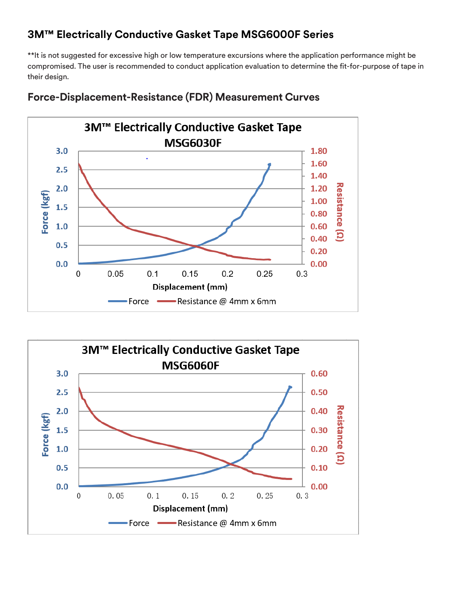## **3M™ Electrically Conductive Gasket Tape MSG6000F Series**

\*\*It is not suggested for excessive high or low temperature excursions where the application performance might be compromised. The user is recommended to conduct application evaluation to determine the fit-for-purpose of tape in their design.



**Force-Displacement-Resistance (FDR) Measurement Curves**

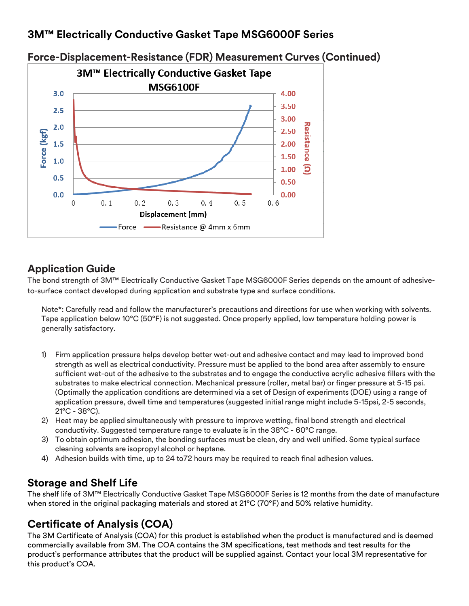#### **3M™ Electrically Conductive Gasket Tape MSG6000F Series**



# **Force-Displacement-Resistance (FDR) Measurement Curves (Continued)**

#### **Application Guide**

The bond strength of 3M™ Electrically Conductive Gasket Tape MSG6000F Series depends on the amount of adhesiveto-surface contact developed during application and substrate type and surface conditions.

Note\*: Carefully read and follow the manufacturer's precautions and directions for use when working with solvents. Tape application below 10°C (50°F) is not suggested. Once properly applied, low temperature holding power is generally satisfactory.

- 1) Firm application pressure helps develop better wet-out and adhesive contact and may lead to improved bond strength as well as electrical conductivity. Pressure must be applied to the bond area after assembly to ensure sufficient wet-out of the adhesive to the substrates and to engage the conductive acrylic adhesive fillers with the substrates to make electrical connection. Mechanical pressure (roller, metal bar) or finger pressure at 5-15 psi. (Optimally the application conditions are determined via a set of Design of experiments (DOE) using a range of application pressure, dwell time and temperatures (suggested initial range might include 5-15psi, 2-5 seconds, 21°C - 38°C).
- 2) Heat may be applied simultaneously with pressure to improve wetting, final bond strength and electrical conductivity. Suggested temperature range to evaluate is in the 38°C - 60°C range.
- 3) To obtain optimum adhesion, the bonding surfaces must be clean, dry and well unified. Some typical surface cleaning solvents are isopropyl alcohol or heptane.
- 4) Adhesion builds with time, up to 24 to72 hours may be required to reach final adhesion values.

## **Storage and Shelf Life**

The shelf life of 3M™ Electrically Conductive Gasket Tape MSG6000F Series is 12 months from the date of manufacture when stored in the original packaging materials and stored at 21°C (70°F) and 50% relative humidity.

# **Certificate of Analysis (COA)**

The 3M Certificate of Analysis (COA) for this product is established when the product is manufactured and is deemed commercially available from 3M. The COA contains the 3M specifications, test methods and test results for the product's performance attributes that the product will be supplied against. Contact your local 3M representative for this product's COA.